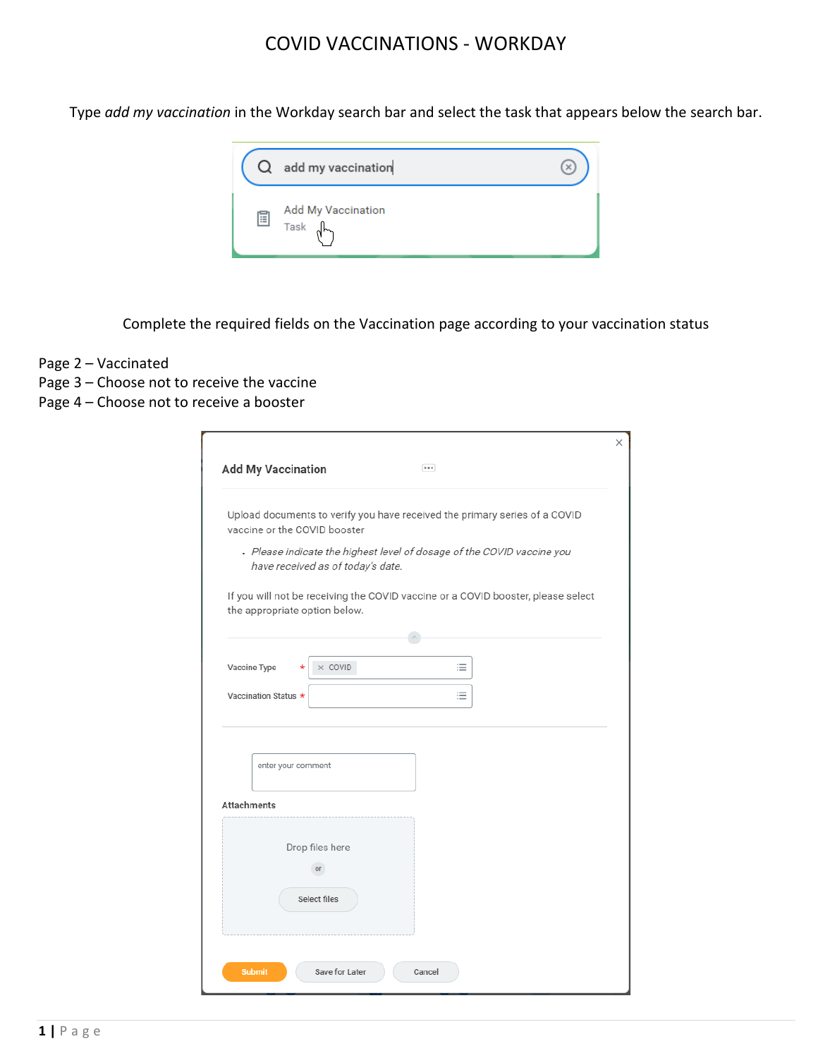Type *add my vaccination* in the Workday search bar and select the task that appears below the search bar.

| $\cup$ | add my vaccination         |  |
|--------|----------------------------|--|
| E      | Add My Vaccination<br>Task |  |

Complete the required fields on the Vaccination page according to your vaccination status

- Page 2 Vaccinated
- Page 3 Choose not to receive the vaccine
- Page 4 Choose not to receive a booster

| <b>Add My Vaccination</b>     | $-$                                                                                                         |  |
|-------------------------------|-------------------------------------------------------------------------------------------------------------|--|
| vaccine or the COVID booster  | Upload documents to verify you have received the primary series of a COVID                                  |  |
|                               | . Please indicate the highest level of dosage of the COVID vaccine you<br>have received as of today's date. |  |
| the appropriate option below. | If you will not be receiving the COVID vaccine or a COVID booster, please select                            |  |
|                               |                                                                                                             |  |
| Vaccine Type                  | $\times$ COVID<br>≔<br>$^\star$                                                                             |  |
| Vaccination Status *          | ≔                                                                                                           |  |
|                               |                                                                                                             |  |
| enter your comment            |                                                                                                             |  |
| <b>Attachments</b>            |                                                                                                             |  |
|                               | Drop files here                                                                                             |  |
|                               | or                                                                                                          |  |
|                               | Select files                                                                                                |  |
|                               |                                                                                                             |  |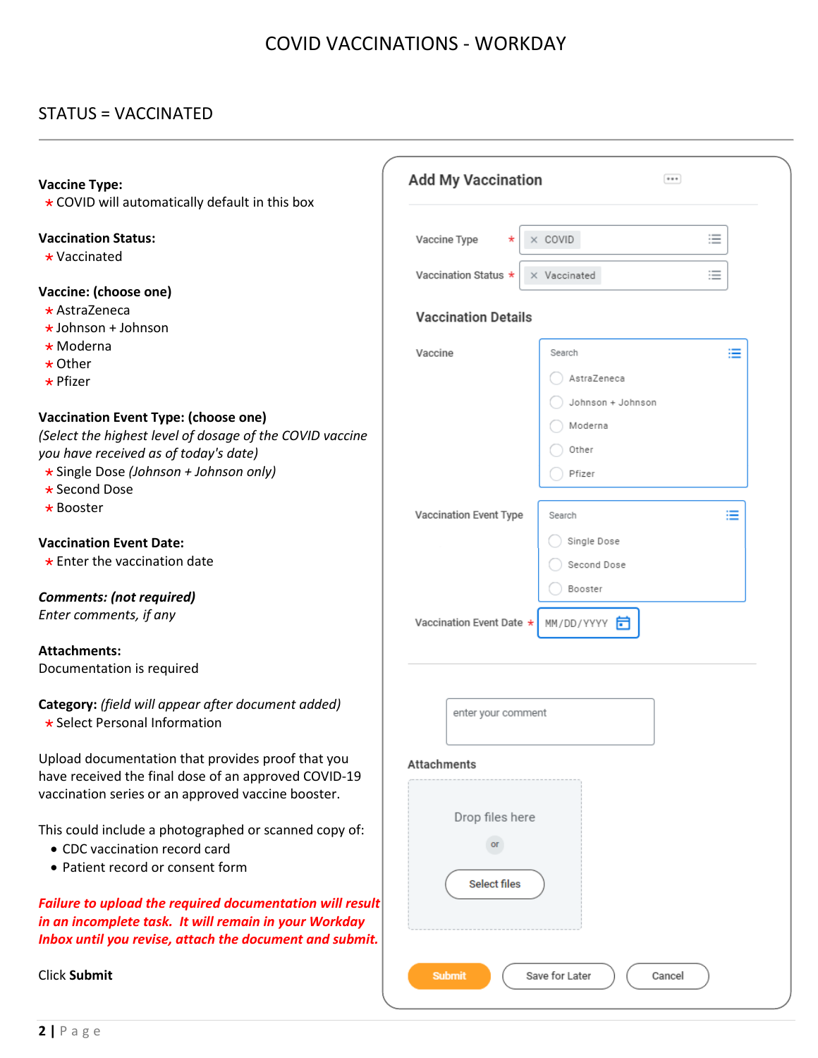## STATUS = VACCINATED

| <b>Vaccine Type:</b><br>* COVID will automatically default in this box                                                                                                                                      | <b>Add My Vaccination</b>            |                                                 |  |  |  |  |
|-------------------------------------------------------------------------------------------------------------------------------------------------------------------------------------------------------------|--------------------------------------|-------------------------------------------------|--|--|--|--|
| <b>Vaccination Status:</b><br>$\star$ Vaccinated                                                                                                                                                            | Vaccine Type<br>Vaccination Status * | 這<br>$\times$ COVID<br>≔<br>X Vaccinated        |  |  |  |  |
| Vaccine: (choose one)<br>$\star$ AstraZeneca<br>$\star$ Johnson + Johnson                                                                                                                                   | <b>Vaccination Details</b>           |                                                 |  |  |  |  |
| $\star$ Moderna<br>$\star$ Other<br>$\star$ Pfizer                                                                                                                                                          | Vaccine                              | ≔<br>Search<br>AstraZeneca                      |  |  |  |  |
| <b>Vaccination Event Type: (choose one)</b><br>(Select the highest level of dosage of the COVID vaccine<br>you have received as of today's date)<br>* Single Dose (Johnson + Johnson only)<br>* Second Dose |                                      | Johnson + Johnson<br>Moderna<br>Other<br>Pfizer |  |  |  |  |
| * Booster                                                                                                                                                                                                   | Vaccination Event Type               | ≔<br>Search                                     |  |  |  |  |
| <b>Vaccination Event Date:</b><br>$\star$ Enter the vaccination date                                                                                                                                        |                                      | Single Dose<br>Second Dose                      |  |  |  |  |
| <b>Comments: (not required)</b><br>Enter comments, if any                                                                                                                                                   | Vaccination Event Date *             | Booster<br>MM/DD/YYYY<br>F                      |  |  |  |  |
| <b>Attachments:</b><br>Documentation is required                                                                                                                                                            |                                      |                                                 |  |  |  |  |
| Category: (field will appear after document added)<br>★ Select Personal Information                                                                                                                         | enter your comment                   |                                                 |  |  |  |  |
| Upload documentation that provides proof that you<br>have received the final dose of an approved COVID-19<br>vaccination series or an approved vaccine booster.                                             | Attachments                          |                                                 |  |  |  |  |
| This could include a photographed or scanned copy of:<br>• CDC vaccination record card<br>• Patient record or consent form                                                                                  | Drop files here<br>or                |                                                 |  |  |  |  |
| Failure to upload the required documentation will result<br>in an incomplete task. It will remain in your Workday<br>Inbox until you revise, attach the document and submit.                                | <b>Select files</b>                  |                                                 |  |  |  |  |
| <b>Click Submit</b>                                                                                                                                                                                         | <b>Submit</b>                        | Save for Later<br>Cancel                        |  |  |  |  |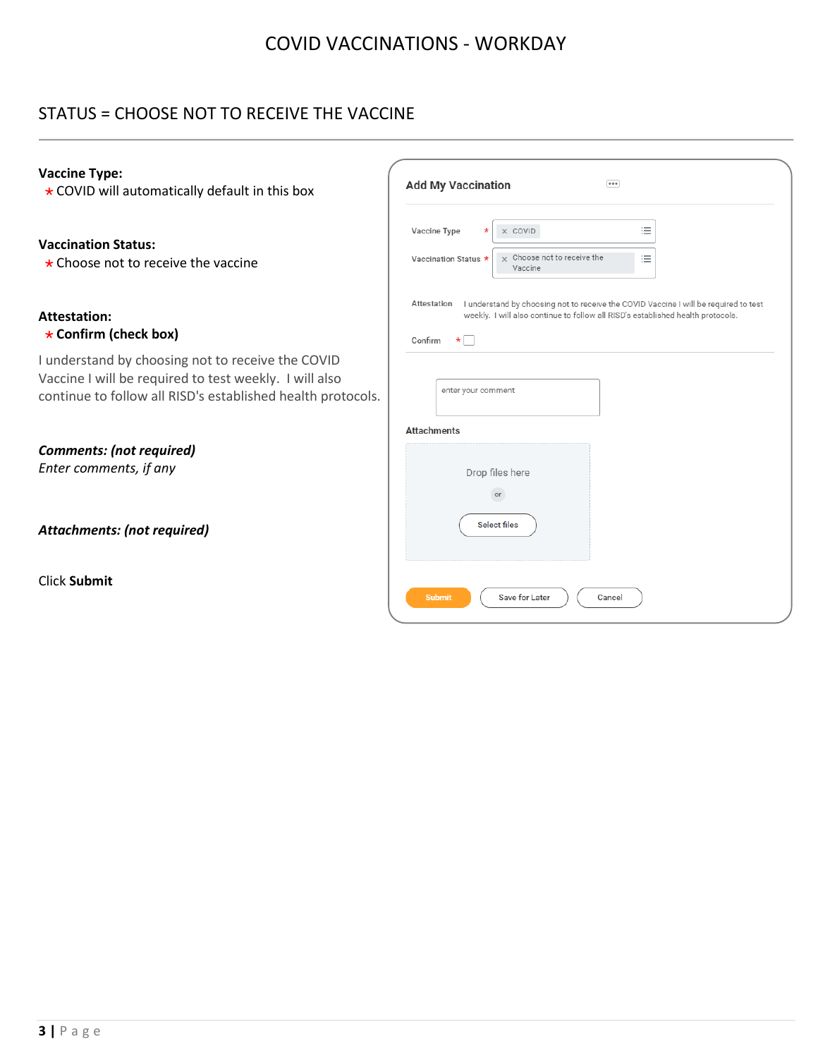## STATUS = CHOOSE NOT TO RECEIVE THE VACCINE

| <b>Vaccine Type:</b><br>* COVID will automatically default in this box                                                                                                     | <b>Add My Vaccination</b><br>                                                                                                                                                                                 |  |  |  |  |  |  |
|----------------------------------------------------------------------------------------------------------------------------------------------------------------------------|---------------------------------------------------------------------------------------------------------------------------------------------------------------------------------------------------------------|--|--|--|--|--|--|
| <b>Vaccination Status:</b><br>$\star$ Choose not to receive the vaccine                                                                                                    | 洼<br>Vaccine Type<br>X COVID<br>$\star$<br>$\times$ Choose not to receive the<br>洼<br>Vaccination Status *<br>Vaccine                                                                                         |  |  |  |  |  |  |
| <b>Attestation:</b><br>* Confirm (check box)                                                                                                                               | Attestation   understand by choosing not to receive the COVID Vaccine I will be required to test<br>weekly. I will also continue to follow all RISD's established health protocols.<br>$\star$    <br>Confirm |  |  |  |  |  |  |
| I understand by choosing not to receive the COVID<br>Vaccine I will be required to test weekly. I will also<br>continue to follow all RISD's established health protocols. | enter your comment                                                                                                                                                                                            |  |  |  |  |  |  |
| <b>Comments: (not required)</b><br>Enter comments, if any                                                                                                                  | <b>Attachments</b><br>Drop files here<br>or                                                                                                                                                                   |  |  |  |  |  |  |
| Attachments: (not required)                                                                                                                                                | <b>Select files</b>                                                                                                                                                                                           |  |  |  |  |  |  |
| Click Submit                                                                                                                                                               | <b>Submit</b><br>Save for Later<br>Cancel                                                                                                                                                                     |  |  |  |  |  |  |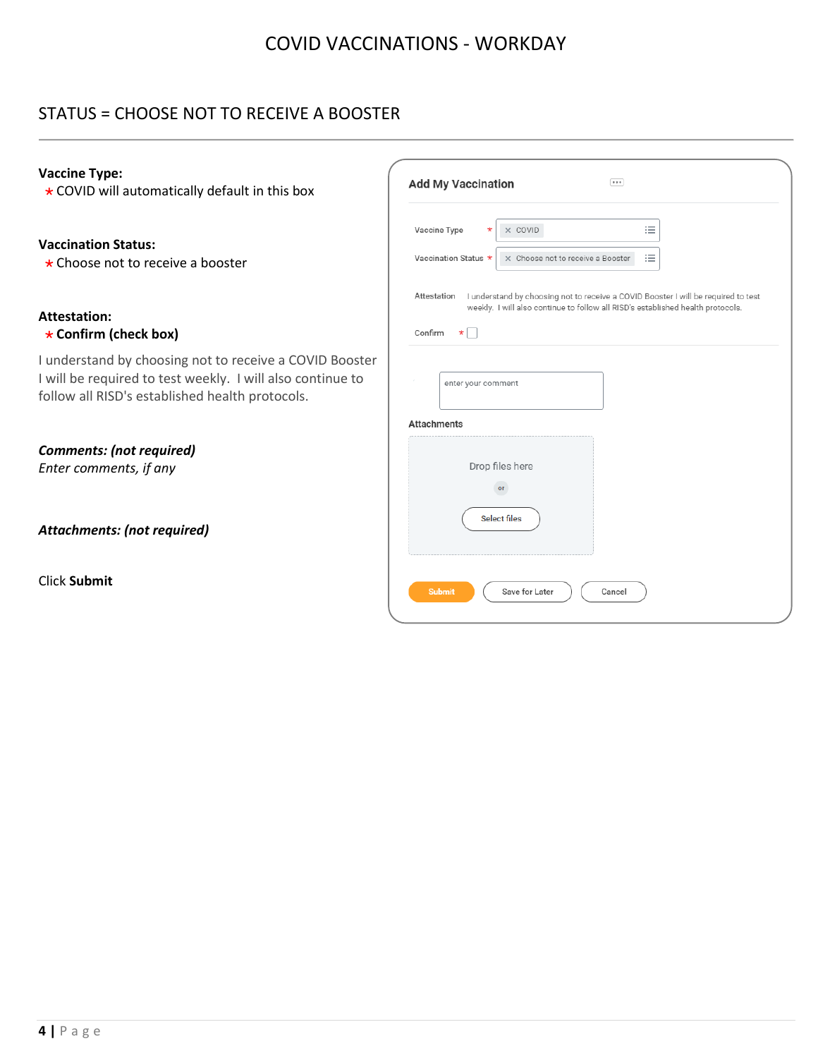### STATUS = CHOOSE NOT TO RECEIVE A BOOSTER

#### **Vaccine Type:**

\* COVID will automatically default in this box

#### **Vaccination Status:**

\* Choose not to receive a booster

### **Attestation:**

#### **Confirm (check box)**

I understand by choosing not to receive a COVID Booster I will be required to test weekly. I will also continue to follow all RISD's established health protocols.

*Comments: (not required) Enter comments, if any*

*Attachments: (not required)*

Click **Submit**

| Vaccine Type<br>$^\star$          | X COVID                                                                                                                                                               | 洼 |  |
|-----------------------------------|-----------------------------------------------------------------------------------------------------------------------------------------------------------------------|---|--|
| Vaccination Status *              | X Choose not to receive a Booster                                                                                                                                     | 洼 |  |
| Attestation<br>Confirm<br>$\star$ | I understand by choosing not to receive a COVID Booster I will be required to test<br>weekly. I will also continue to follow all RISD's established health protocols. |   |  |
| enter your comment                |                                                                                                                                                                       |   |  |
| <b>Attachments</b>                |                                                                                                                                                                       |   |  |
|                                   | Drop files here<br>or                                                                                                                                                 |   |  |
|                                   | <b>Select files</b>                                                                                                                                                   |   |  |